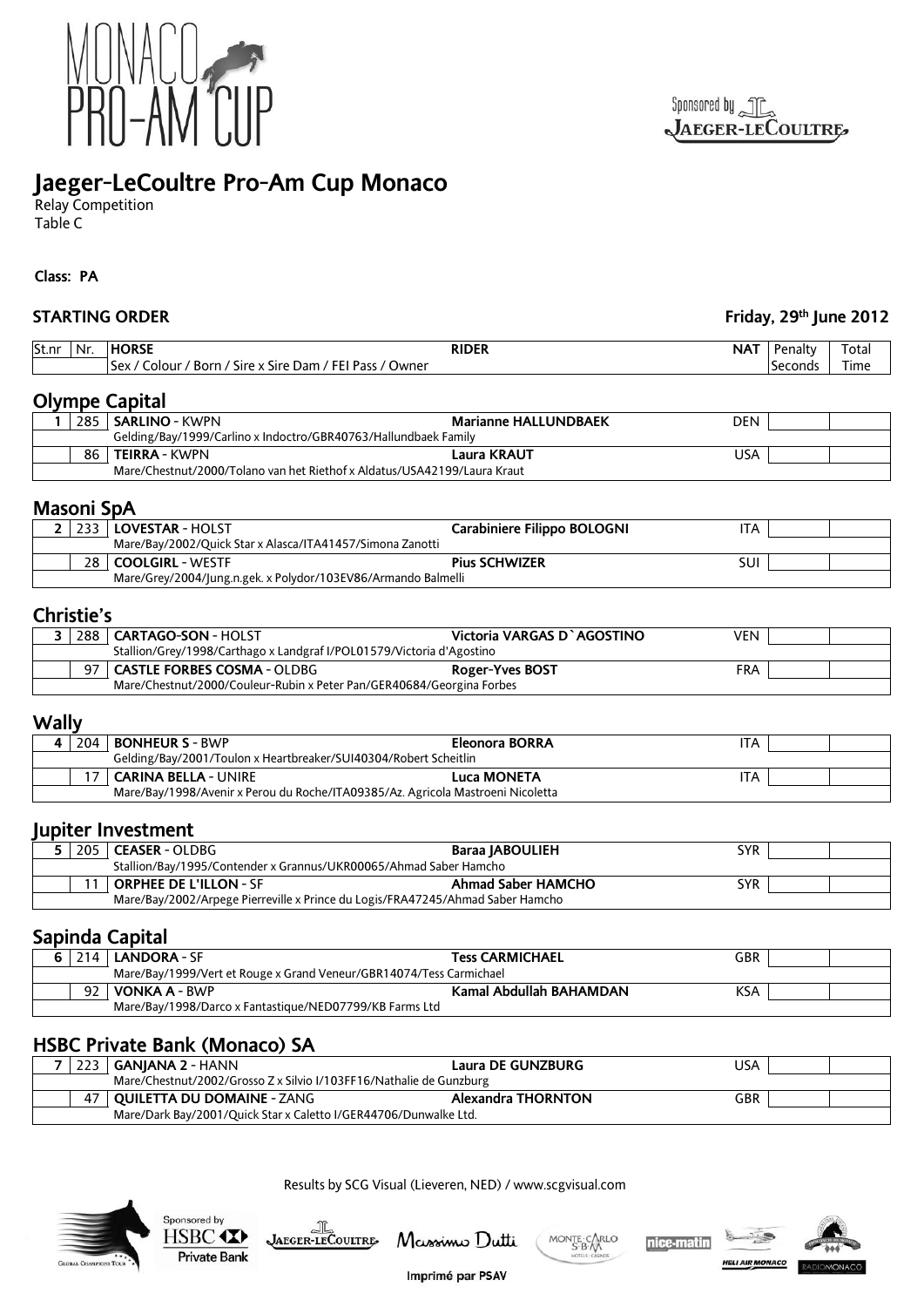

# **Jaeger-LeCoultre Pro-Am Cup Monaco**

Relay Competition Table C

**Class: PA**

| <b>STARTING ORDER</b> |                                                                                 |                                           | Friday, 29th June 2012 |       |
|-----------------------|---------------------------------------------------------------------------------|-------------------------------------------|------------------------|-------|
| Nr.<br>St.nr          | <b>HORSE</b><br><b>RIDER</b>                                                    | <b>NAT</b>                                | Penalty                | Total |
|                       | Sex / Colour / Born / Sire x Sire Dam / FEI Pass / Owner                        |                                           | Seconds                | Time  |
|                       | <b>Olympe Capital</b>                                                           |                                           |                        |       |
|                       | 285   SARLINO - KWPN                                                            | <b>Marianne HALLUNDBAEK</b><br><b>DEN</b> |                        |       |
|                       | Gelding/Bay/1999/Carlino x Indoctro/GBR40763/Hallundbaek Family                 |                                           |                        |       |
|                       | 86   TEIRRA - KWPN                                                              | <b>Laura KRAUT</b><br><b>USA</b>          |                        |       |
|                       | Mare/Chestnut/2000/Tolano van het Riethof x Aldatus/USA42199/Laura Kraut        |                                           |                        |       |
| <b>Masoni SpA</b>     |                                                                                 |                                           |                        |       |
|                       | 2 233   LOVESTAR - HOLST                                                        | Carabiniere Filippo BOLOGNI<br><b>ITA</b> |                        |       |
|                       | Mare/Bay/2002/Quick Star x Alasca/ITA41457/Simona Zanotti                       |                                           |                        |       |
|                       | 28   COOLGIRL - WESTF                                                           | <b>Pius SCHWIZER</b><br>SUI               |                        |       |
|                       | Mare/Grey/2004/Jung.n.gek. x Polydor/103EV86/Armando Balmelli                   |                                           |                        |       |
| Christie's            |                                                                                 |                                           |                        |       |
| 3                     | 288   CARTAGO-SON - HOLST                                                       | Victoria VARGAS D'AGOSTINO<br><b>VEN</b>  |                        |       |
|                       | Stallion/Grey/1998/Carthago x Landgraf I/POL01579/Victoria d'Agostino           |                                           |                        |       |
| 97                    | <b>CASTLE FORBES COSMA - OLDBG</b>                                              | Roger-Yves BOST<br><b>FRA</b>             |                        |       |
|                       | Mare/Chestnut/2000/Couleur-Rubin x Peter Pan/GER40684/Georgina Forbes           |                                           |                        |       |
| <b>Wally</b>          |                                                                                 |                                           |                        |       |
| 4 204                 | <b>BONHEUR S - BWP</b>                                                          | <b>Eleonora BORRA</b><br><b>ITA</b>       |                        |       |
|                       | Gelding/Bay/2001/Toulon x Heartbreaker/SUI40304/Robert Scheitlin                |                                           |                        |       |
| 17                    | <b>CARINA BELLA - UNIRE</b>                                                     | <b>Luca MONETA</b><br><b>ITA</b>          |                        |       |
|                       | Mare/Bay/1998/Avenir x Perou du Roche/ITA09385/Az. Agricola Mastroeni Nicoletta |                                           |                        |       |
|                       | Jupiter Investment                                                              |                                           |                        |       |
|                       | 5   205   CEASER - OLDBG                                                        | <b>Baraa JABOULIEH</b><br><b>SYR</b>      |                        |       |
|                       | Stallion/Bay/1995/Contender x Grannus/UKR00065/Ahmad Saber Hamcho               |                                           |                        |       |
| 11                    | <b>ORPHEE DE L'ILLON - SF</b>                                                   | <b>Ahmad Saber HAMCHO</b><br><b>SYR</b>   |                        |       |
|                       | Mare/Bay/2002/Arpege Pierreville x Prince du Logis/FRA47245/Ahmad Saber Hamcho  |                                           |                        |       |
|                       | Sapinda Capital                                                                 |                                           |                        |       |
| 6.                    | 214   LANDORA - SF                                                              | <b>Tess CARMICHAEL</b><br><b>GBR</b>      |                        |       |
|                       | Mare/Bay/1999/Vert et Rouge x Grand Veneur/GBR14074/Tess Carmichael             |                                           |                        |       |
| 92                    | <b>VONKA A - BWP</b>                                                            | Kamal Abdullah BAHAMDAN<br><b>KSA</b>     |                        |       |
|                       | Mare/Bay/1998/Darco x Fantastique/NED07799/KB Farms Ltd                         |                                           |                        |       |
|                       |                                                                                 |                                           |                        |       |
|                       | <b>HSBC Private Bank (Monaco) SA</b>                                            |                                           |                        |       |
| 7                     | 223 GANJANA 2 - HANN                                                            | <b>Laura DE GUNZBURG</b><br><b>USA</b>    |                        |       |
|                       | Mare/Chestnut/2002/Grosso Z x Silvio I/103FF16/Nathalie de Gunzburg             |                                           |                        |       |
| 47                    | <b>QUILETTA DU DOMAINE - ZANG</b>                                               | <b>Alexandra THORNTON</b><br>GBR          |                        |       |
|                       | Mare/Dark Bay/2001/Quick Star x Caletto I/GER44706/Dunwalke Ltd.                |                                           |                        |       |



Sponsored by

HSBC <

**Private Bank** 

JAEGER-LECOULTRE

Results by SCG Visual (Lieveren, NED) / www.scgvisual.com

Imprimé par PSAV

Massimo Dutti